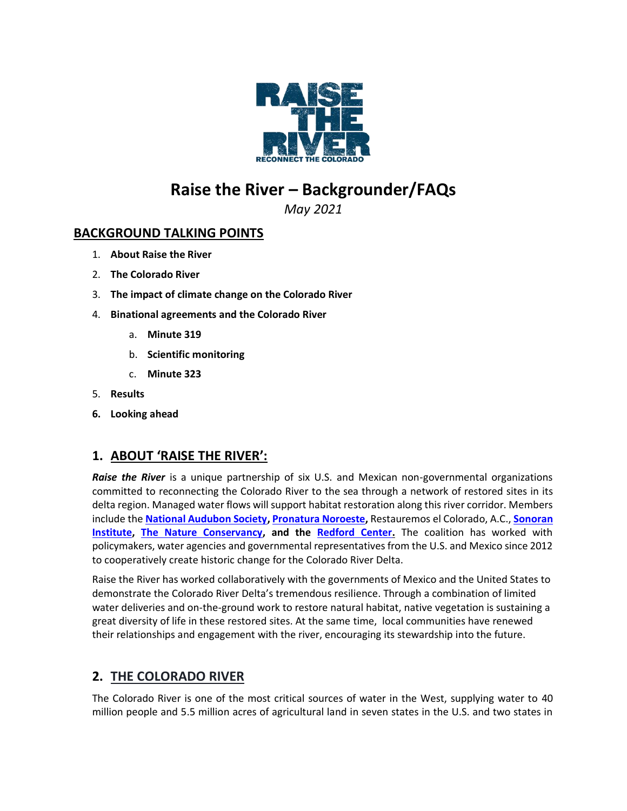

# **Raise the River – Backgrounder/FAQs**

*May 2021*

### **BACKGROUND TALKING POINTS**

- 1. **About Raise the River**
- 2. **The Colorado River**
- 3. **The impact of climate change on the Colorado River**
- 4. **Binational agreements and the Colorado River**
	- a. **Minute 319**
	- b. **Scientific monitoring**
	- c. **Minute 323**
- 5. **Results**
- **6. Looking ahead**

# **1. ABOUT 'RAISE THE RIVER':**

**Raise the River** is a unique partnership of six U.S. and Mexican non-governmental organizations committed to reconnecting the Colorado River to the sea through a network of restored sites in its delta region. Managed water flows will support habitat restoration along this river corridor. Members include the **[National Audubon Society,](http://www.audubon.org/) [Pronatura Noroeste,](http://www.pronatura-noroeste.org/)** Restauremos el Colorado, A.C., **[Sonoran](http://www.sonoraninstitute.org/)  [Institute,](http://www.sonoraninstitute.org/) [The Nature Conservancy,](http://www.nature.org/) and the [Redford Center.](http://www.redfordcenter.org/)** The coalition has worked with policymakers, water agencies and governmental representatives from the U.S. and Mexico since 2012 to cooperatively create historic change for the Colorado River Delta.

Raise the River has worked collaboratively with the governments of Mexico and the United States to demonstrate the Colorado River Delta's tremendous resilience. Through a combination of limited water deliveries and on-the-ground work to restore natural habitat, native vegetation is sustaining a great diversity of life in these restored sites. At the same time, local communities have renewed their relationships and engagement with the river, encouraging its stewardship into the future.

# **2. THE COLORADO RIVER**

The Colorado River is one of the most critical sources of water in the West, supplying water to 40 million people and 5.5 million acres of agricultural land in seven states in the U.S. and two states in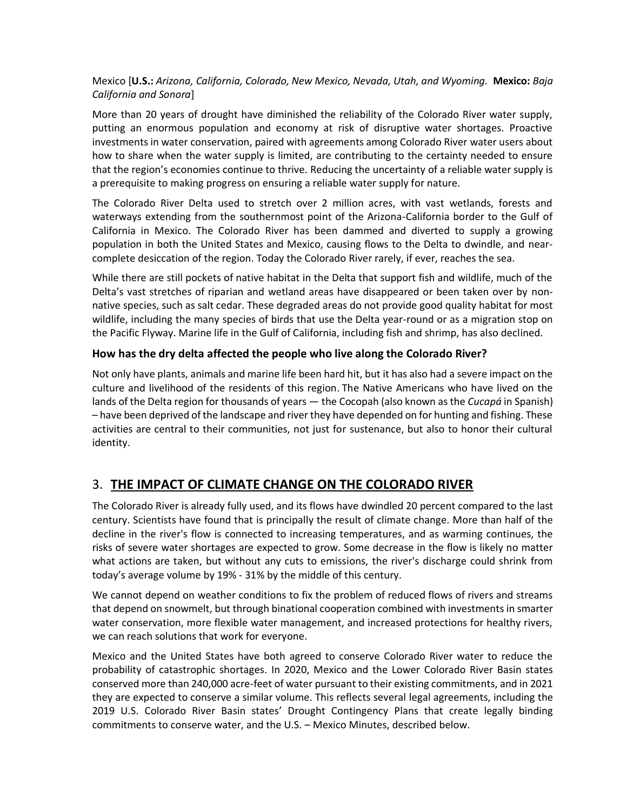### Mexico [**U.S.:** *Arizona, California, Colorado, New Mexico, Nevada, Utah, and Wyoming.* **Mexico:** *Baja California and Sonora*]

More than 20 years of drought have diminished the reliability of the Colorado River water supply, putting an enormous population and economy at risk of disruptive water shortages. Proactive investments in water conservation, paired with agreements among Colorado River water users about how to share when the water supply is limited, are contributing to the certainty needed to ensure that the region's economies continue to thrive. Reducing the uncertainty of a reliable water supply is a prerequisite to making progress on ensuring a reliable water supply for nature.

The Colorado River Delta used to stretch over 2 million acres, with vast wetlands, forests and waterways extending from the southernmost point of the Arizona-California border to the Gulf of California in Mexico. The Colorado River has been dammed and diverted to supply a growing population in both the United States and Mexico, causing flows to the Delta to dwindle, and nearcomplete desiccation of the region. Today the Colorado River rarely, if ever, reaches the sea.

While there are still pockets of native habitat in the Delta that support fish and wildlife, much of the Delta's vast stretches of riparian and wetland areas have disappeared or been taken over by nonnative species, such as salt cedar. These degraded areas do not provide good quality habitat for most wildlife, including the many species of birds that use the Delta year-round or as a migration stop on the Pacific Flyway. Marine life in the Gulf of California, including fish and shrimp, has also declined.

### **How has the dry delta affected the people who live along the Colorado River?**

Not only have plants, animals and marine life been hard hit, but it has also had a severe impact on the culture and livelihood of the residents of this region. The Native Americans who have lived on the lands of the Delta region for thousands of years — the Cocopah (also known as the *Cucapá* in Spanish) – have been deprived of the landscape and river they have depended on for hunting and fishing. These activities are central to their communities, not just for sustenance, but also to honor their cultural identity.

# 3. **THE IMPACT OF CLIMATE CHANGE ON THE COLORADO RIVER**

The Colorado River is already fully used, and its flows have dwindled 20 percent compared to the last century. Scientists have found that is principally the result of climate change. More than half of the decline in the river's flow is connected to increasing temperatures, and as warming continues, the risks of severe water shortages are expected to grow. Some decrease in the flow is likely no matter what actions are taken, but without any cuts to emissions, the river's discharge could shrink from today's average volume by 19% - 31% by the middle of this century.

We cannot depend on weather conditions to fix the problem of reduced flows of rivers and streams that depend on snowmelt, but through binational cooperation combined with investments in smarter water conservation, more flexible water management, and increased protections for healthy rivers, we can reach solutions that work for everyone.

Mexico and the United States have both agreed to conserve Colorado River water to reduce the probability of catastrophic shortages. In 2020, Mexico and the Lower Colorado River Basin states conserved more than 240,000 acre-feet of water pursuant to their existing commitments, and in 2021 they are expected to conserve a similar volume. This reflects several legal agreements, including the 2019 U.S. Colorado River Basin states' Drought Contingency Plans that create legally binding commitments to conserve water, and the U.S. – Mexico Minutes, described below.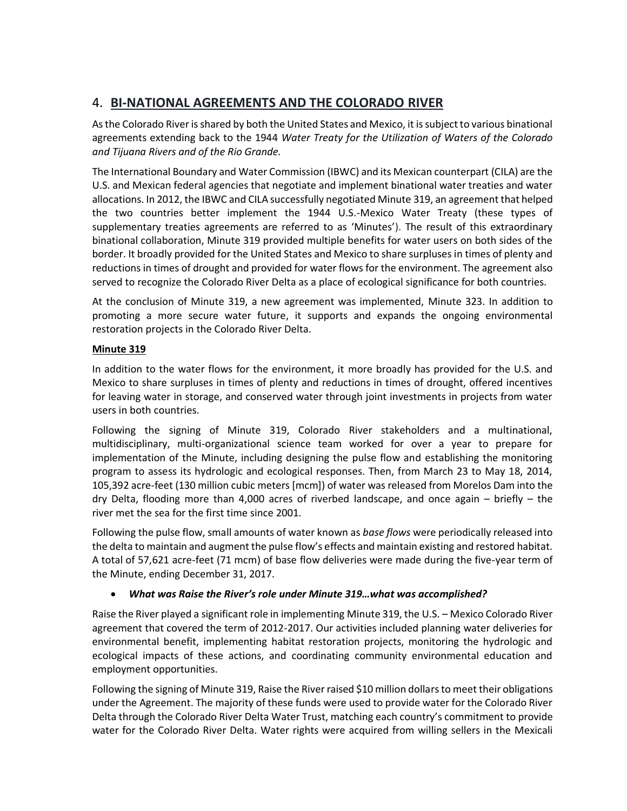# 4. **BI-NATIONAL AGREEMENTS AND THE COLORADO RIVER**

As the Colorado River is shared by both the United States and Mexico, it is subject to various binational agreements extending back to the 1944 *Water Treaty for the Utilization of Waters of the Colorado and Tijuana Rivers and of the Rio Grande.*

The International Boundary and Water Commission (IBWC) and its Mexican counterpart (CILA) are the U.S. and Mexican federal agencies that negotiate and implement binational water treaties and water allocations. In 2012, the IBWC and CILA successfully negotiated Minute 319, an agreement that helped the two countries better implement the 1944 U.S.-Mexico Water Treaty (these types of supplementary treaties agreements are referred to as 'Minutes'). The result of this extraordinary binational collaboration, Minute 319 provided multiple benefits for water users on both sides of the border. It broadly provided for the United States and Mexico to share surpluses in times of plenty and reductions in times of drought and provided for water flows for the environment. The agreement also served to recognize the Colorado River Delta as a place of ecological significance for both countries.

At the conclusion of Minute 319, a new agreement was implemented, Minute 323. In addition to promoting a more secure water future, it supports and expands the ongoing environmental restoration projects in the Colorado River Delta.

### **Minute 319**

In addition to the water flows for the environment, it more broadly has provided for the U.S. and Mexico to share surpluses in times of plenty and reductions in times of drought, offered incentives for leaving water in storage, and conserved water through joint investments in projects from water users in both countries.

Following the signing of Minute 319, Colorado River stakeholders and a multinational, multidisciplinary, multi-organizational science team worked for over a year to prepare for implementation of the Minute, including designing the pulse flow and establishing the monitoring program to assess its hydrologic and ecological responses. Then, from March 23 to May 18, 2014, 105,392 acre-feet (130 million cubic meters [mcm]) of water was released from Morelos Dam into the dry Delta, flooding more than 4,000 acres of riverbed landscape, and once again – briefly – the river met the sea for the first time since 2001.

Following the pulse flow, small amounts of water known as *base flows* were periodically released into the delta to maintain and augment the pulse flow's effects and maintain existing and restored habitat. A total of 57,621 acre-feet (71 mcm) of base flow deliveries were made during the five-year term of the Minute, ending December 31, 2017.

### • *What was Raise the River's role under Minute 319…what was accomplished?*

Raise the River played a significant role in implementing Minute 319, the U.S. – Mexico Colorado River agreement that covered the term of 2012-2017. Our activities included planning water deliveries for environmental benefit, implementing habitat restoration projects, monitoring the hydrologic and ecological impacts of these actions, and coordinating community environmental education and employment opportunities.

Following the signing of Minute 319, Raise the River raised \$10 million dollars to meet their obligations under the Agreement. The majority of these funds were used to provide water for the Colorado River Delta through the Colorado River Delta Water Trust, matching each country's commitment to provide water for the Colorado River Delta. Water rights were acquired from willing sellers in the Mexicali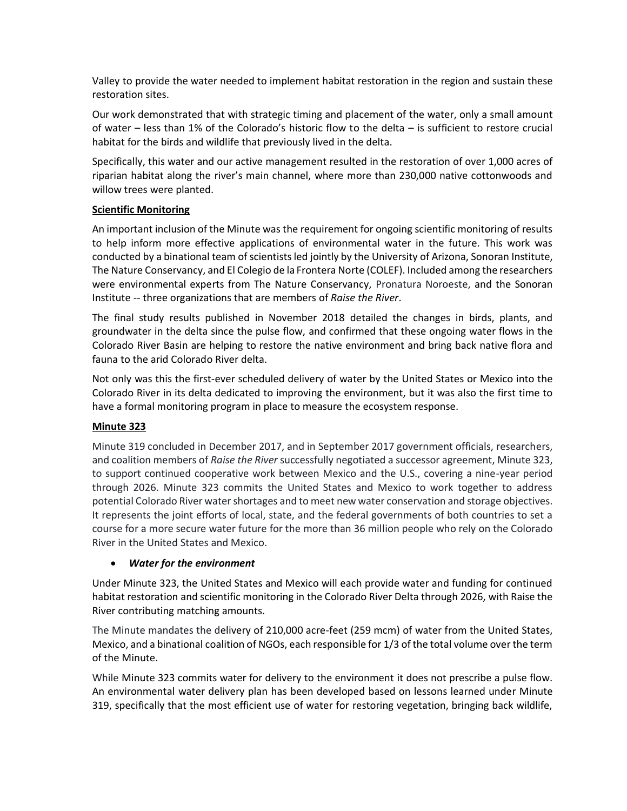Valley to provide the water needed to implement habitat restoration in the region and sustain these restoration sites.

Our work demonstrated that with strategic timing and placement of the water, only a small amount of water – less than 1% of the Colorado's historic flow to the delta – is sufficient to restore crucial habitat for the birds and wildlife that previously lived in the delta.

Specifically, this water and our active management resulted in the restoration of over 1,000 acres of riparian habitat along the river's main channel, where more than 230,000 native cottonwoods and willow trees were planted.

#### **Scientific Monitoring**

An important inclusion of the Minute was the requirement for ongoing scientific monitoring of results to help inform more effective applications of environmental water in the future. This work was conducted by a binational team of scientists led jointly by the University of Arizona, Sonoran Institute, The Nature Conservancy, and El Colegio de la Frontera Norte (COLEF). Included among the researchers were environmental experts from The Nature Conservancy, Pronatura Noroeste, and the Sonoran Institute -- three organizations that are members of *Raise the River*.

The final study results published in November 2018 detailed the changes in birds, plants, and groundwater in the delta since the pulse flow, and confirmed that these ongoing water flows in the Colorado River Basin are helping to restore the native environment and bring back native flora and fauna to the arid Colorado River delta.

Not only was this the first‐ever scheduled delivery of water by the United States or Mexico into the Colorado River in its delta dedicated to improving the environment, but it was also the first time to have a formal monitoring program in place to measure the ecosystem response.

#### **Minute 323**

Minute 319 concluded in December 2017, and in September 2017 government officials, researchers, and coalition members of *Raise the River* successfully negotiated a successor agreement, Minute 323, to support continued cooperative work between Mexico and the U.S., covering a nine-year period through 2026. Minute 323 commits the United States and Mexico to work together to address potential Colorado River water shortages and to meet new water conservation and storage objectives. It represents the joint efforts of local, state, and the federal governments of both countries to set a course for a more secure water future for the more than 36 million people who rely on the Colorado River in the United States and Mexico.

#### • *Water for the environment*

Under Minute 323, the United States and Mexico will each provide water and funding for continued habitat restoration and scientific monitoring in the Colorado River Delta through 2026, with Raise the River contributing matching amounts.

The Minute mandates the delivery of 210,000 acre-feet (259 mcm) of water from the United States, Mexico, and a binational coalition of NGOs, each responsible for 1/3 of the total volume over the term of the Minute.

While Minute 323 commits water for delivery to the environment it does not prescribe a pulse flow. An environmental water delivery plan has been developed based on lessons learned under Minute 319, specifically that the most efficient use of water for restoring vegetation, bringing back wildlife,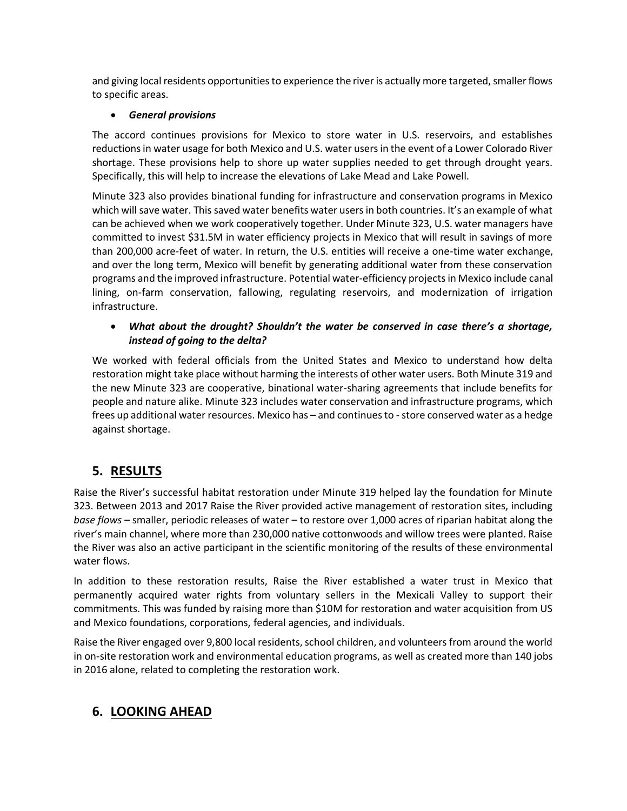and giving local residents opportunities to experience the river is actually more targeted, smaller flows to specific areas.

### • *General provisions*

The accord continues provisions for Mexico to store water in U.S. reservoirs, and establishes reductions in water usage for both Mexico and U.S. water users in the event of a Lower Colorado River shortage. These provisions help to shore up water supplies needed to get through drought years. Specifically, this will help to increase the elevations of Lake Mead and Lake Powell.

Minute 323 also provides binational funding for infrastructure and conservation programs in Mexico which will save water. This saved water benefits water users in both countries. It's an example of what can be achieved when we work cooperatively together. Under Minute 323, U.S. water managers have committed to invest \$31.5M in water efficiency projects in Mexico that will result in savings of more than 200,000 acre-feet of water. In return, the U.S. entities will receive a one-time water exchange, and over the long term, Mexico will benefit by generating additional water from these conservation programs and the improved infrastructure. Potential water-efficiency projects in Mexico include canal lining, on-farm conservation, fallowing, regulating reservoirs, and modernization of irrigation infrastructure.

### • *What about the drought? Shouldn't the water be conserved in case there's a shortage, instead of going to the delta?*

We worked with federal officials from the United States and Mexico to understand how delta restoration might take place without harming the interests of other water users. Both Minute 319 and the new Minute 323 are cooperative, binational water-sharing agreements that include benefits for people and nature alike. Minute 323 includes water conservation and infrastructure programs, which frees up additional water resources. Mexico has – and continues to - store conserved water as a hedge against shortage.

# **5. RESULTS**

Raise the River's successful habitat restoration under Minute 319 helped lay the foundation for Minute 323. Between 2013 and 2017 Raise the River provided active management of restoration sites, including *base flows –* smaller, periodic releases of water – to restore over 1,000 acres of riparian habitat along the river's main channel, where more than 230,000 native cottonwoods and willow trees were planted. Raise the River was also an active participant in the scientific monitoring of the results of these environmental water flows.

In addition to these restoration results, Raise the River established a water trust in Mexico that permanently acquired water rights from voluntary sellers in the Mexicali Valley to support their commitments. This was funded by raising more than \$10M for restoration and water acquisition from US and Mexico foundations, corporations, federal agencies, and individuals.

Raise the River engaged over 9,800 local residents, school children, and volunteers from around the world in on-site restoration work and environmental education programs, as well as created more than 140 jobs in 2016 alone, related to completing the restoration work.

# **6. LOOKING AHEAD**